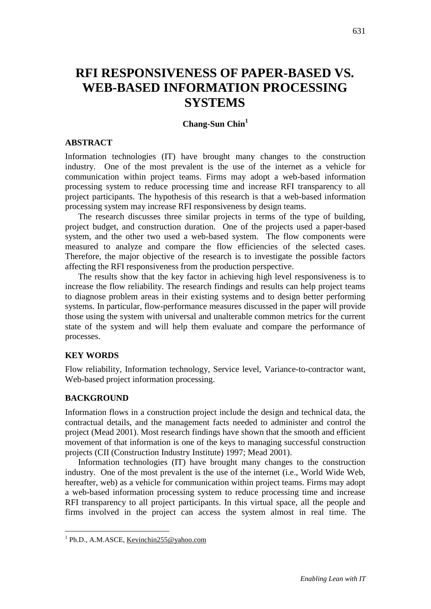# **RFI RESPONSIVENESS OF PAPER-BASED VS. WEB-BASED INFORMATION PROCESSING SYSTEMS**

## **Chang-Sun Chin<sup>1</sup>**

#### **ABSTRACT**

Information technologies (IT) have brought many changes to the construction industry. One of the most prevalent is the use of the internet as a vehicle for communication within project teams. Firms may adopt a web-based information processing system to reduce processing time and increase RFI transparency to all project participants. The hypothesis of this research is that a web-based information processing system may increase RFI responsiveness by design teams.

The research discusses three similar projects in terms of the type of building, project budget, and construction duration. One of the projects used a paper-based system, and the other two used a web-based system. The flow components were measured to analyze and compare the flow efficiencies of the selected cases. Therefore, the major objective of the research is to investigate the possible factors affecting the RFI responsiveness from the production perspective.

The results show that the key factor in achieving high level responsiveness is to increase the flow reliability. The research findings and results can help project teams to diagnose problem areas in their existing systems and to design better performing systems. In particular, flow-performance measures discussed in the paper will provide those using the system with universal and unalterable common metrics for the current state of the system and will help them evaluate and compare the performance of processes.

#### **KEY WORDS**

Flow reliability, Information technology, Service level, Variance-to-contractor want, Web-based project information processing.

#### **BACKGROUND**

1

Information flows in a construction project include the design and technical data, the contractual details, and the management facts needed to administer and control the project (Mead 2001). Most research findings have shown that the smooth and efficient movement of that information is one of the keys to managing successful construction projects (CII (Construction Industry Institute) 1997; Mead 2001).

Information technologies (IT) have brought many changes to the construction industry. One of the most prevalent is the use of the internet (i.e., World Wide Web, hereafter, web) as a vehicle for communication within project teams. Firms may adopt a web-based information processing system to reduce processing time and increase RFI transparency to all project participants. In this virtual space, all the people and firms involved in the project can access the system almost in real time. The

<sup>&</sup>lt;sup>1</sup> Ph.D., A.M.ASCE, [Kevinchin255@yahoo.com](mailto:Kevinchin255@yahoo.com)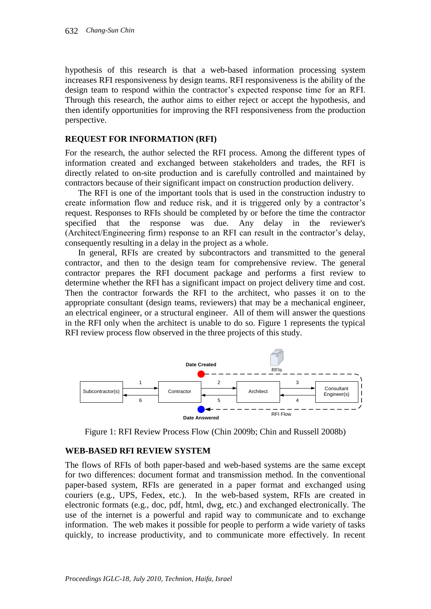hypothesis of this research is that a web-based information processing system increases RFI responsiveness by design teams. RFI responsiveness is the ability of the design team to respond within the contractor's expected response time for an RFI. Through this research, the author aims to either reject or accept the hypothesis, and then identify opportunities for improving the RFI responsiveness from the production perspective.

## **REQUEST FOR INFORMATION (RFI)**

For the research, the author selected the RFI process. Among the different types of information created and exchanged between stakeholders and trades, the RFI is directly related to on-site production and is carefully controlled and maintained by contractors because of their significant impact on construction production delivery.

The RFI is one of the important tools that is used in the construction industry to create information flow and reduce risk, and it is triggered only by a contractor's request. Responses to RFIs should be completed by or before the time the contractor specified that the response was due. Any delay in the reviewer's (Architect/Engineering firm) response to an RFI can result in the contractor's delay, consequently resulting in a delay in the project as a whole.

In general, RFIs are created by subcontractors and transmitted to the general contractor, and then to the design team for comprehensive review. The general contractor prepares the RFI document package and performs a first review to determine whether the RFI has a significant impact on project delivery time and cost. Then the contractor forwards the RFI to the architect, who passes it on to the appropriate consultant (design teams, reviewers) that may be a mechanical engineer, an electrical engineer, or a structural engineer. All of them will answer the questions in the RFI only when the architect is unable to do so. Figure 1 represents the typical RFI review process flow observed in the three projects of this study.



Figure 1: RFI Review Process Flow (Chin 2009b; Chin and Russell 2008b)

#### **WEB-BASED RFI REVIEW SYSTEM**

The flows of RFIs of both paper-based and web-based systems are the same except for two differences: document format and transmission method. In the conventional paper-based system, RFIs are generated in a paper format and exchanged using couriers (e.g., UPS, Fedex, etc.). In the web-based system, RFIs are created in electronic formats (e.g., doc, pdf, html, dwg, etc.) and exchanged electronically. The use of the internet is a powerful and rapid way to communicate and to exchange information. The web makes it possible for people to perform a wide variety of tasks quickly, to increase productivity, and to communicate more effectively. In recent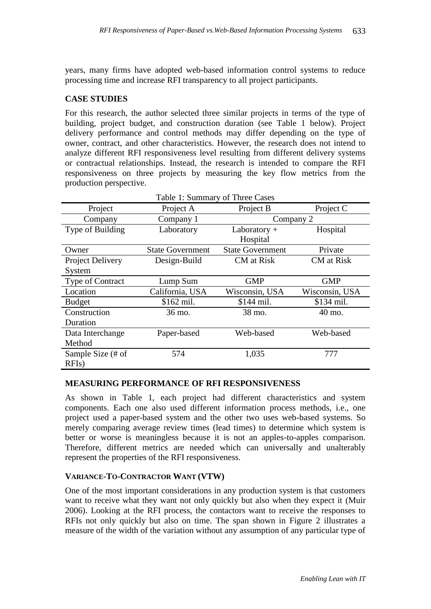years, many firms have adopted web-based information control systems to reduce processing time and increase RFI transparency to all project participants.

## **CASE STUDIES**

For this research, the author selected three similar projects in terms of the type of building, project budget, and construction duration (see Table 1 below). Project delivery performance and control methods may differ depending on the type of owner, contract, and other characteristics. However, the research does not intend to analyze different RFI responsiveness level resulting from different delivery systems or contractual relationships. Instead, the research is intended to compare the RFI responsiveness on three projects by measuring the key flow metrics from the production perspective.

| Table 1: Summary of Three Cases |                         |                         |                |  |  |  |  |  |
|---------------------------------|-------------------------|-------------------------|----------------|--|--|--|--|--|
| Project                         | Project A               | Project B               | Project C      |  |  |  |  |  |
| Company                         | Company 1               | Company 2               |                |  |  |  |  |  |
| Type of Building                | Laboratory              | Laboratory $+$          | Hospital       |  |  |  |  |  |
|                                 |                         | Hospital                |                |  |  |  |  |  |
| Owner                           | <b>State Government</b> | <b>State Government</b> | Private        |  |  |  |  |  |
| Project Delivery                | Design-Build            | CM at Risk              | CM at Risk     |  |  |  |  |  |
| System                          |                         |                         |                |  |  |  |  |  |
| Type of Contract                | Lump Sum                | <b>GMP</b>              | <b>GMP</b>     |  |  |  |  |  |
| Location                        | California, USA         | Wisconsin, USA          | Wisconsin, USA |  |  |  |  |  |
| <b>Budget</b>                   | \$162 mil.              | \$144 mil.              | \$134 mil.     |  |  |  |  |  |
| Construction                    | 36 mo.                  | 38 mo.                  | 40 mo.         |  |  |  |  |  |
| Duration                        |                         |                         |                |  |  |  |  |  |
| Data Interchange                | Paper-based             | Web-based               | Web-based      |  |  |  |  |  |
| Method                          |                         |                         |                |  |  |  |  |  |
| Sample Size (# of               | 574                     | 1,035                   | 777            |  |  |  |  |  |
| RFIs)                           |                         |                         |                |  |  |  |  |  |

## **MEASURING PERFORMANCE OF RFI RESPONSIVENESS**

As shown in Table 1, each project had different characteristics and system components. Each one also used different information process methods, i.e., one project used a paper-based system and the other two uses web-based systems. So merely comparing average review times (lead times) to determine which system is better or worse is meaningless because it is not an apples-to-apples comparison. Therefore, different metrics are needed which can universally and unalterably represent the properties of the RFI responsiveness.

#### **VARIANCE-TO-CONTRACTOR WANT (VTW)**

One of the most important considerations in any production system is that customers want to receive what they want not only quickly but also when they expect it (Muir 2006). Looking at the RFI process, the contactors want to receive the responses to RFIs not only quickly but also on time. The span shown in Figure 2 illustrates a measure of the width of the variation without any assumption of any particular type of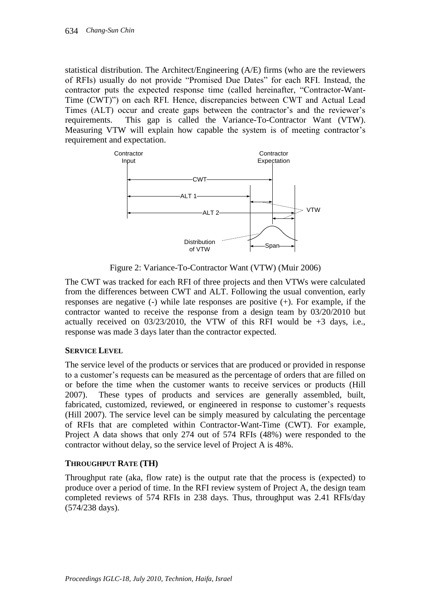statistical distribution. The Architect/Engineering (A/E) firms (who are the reviewers of RFIs) usually do not provide "Promised Due Dates" for each RFI. Instead, the contractor puts the expected response time (called hereinafter, "Contractor-Want-Time (CWT)") on each RFI. Hence, discrepancies between CWT and Actual Lead Times (ALT) occur and create gaps between the contractor's and the reviewer's requirements. This gap is called the Variance-To-Contractor Want (VTW). Measuring VTW will explain how capable the system is of meeting contractor's requirement and expectation.



Figure 2: Variance-To-Contractor Want (VTW) (Muir 2006)

The CWT was tracked for each RFI of three projects and then VTWs were calculated from the differences between CWT and ALT. Following the usual convention, early responses are negative (-) while late responses are positive (+). For example, if the contractor wanted to receive the response from a design team by 03/20/2010 but actually received on  $03/23/2010$ , the VTW of this RFI would be  $+3$  days, i.e., response was made 3 days later than the contractor expected.

## **SERVICE LEVEL**

The service level of the products or services that are produced or provided in response to a customer's requests can be measured as the percentage of orders that are filled on or before the time when the customer wants to receive services or products (Hill 2007). These types of products and services are generally assembled, built, fabricated, customized, reviewed, or engineered in response to customer's requests (Hill 2007). The service level can be simply measured by calculating the percentage of RFIs that are completed within Contractor-Want-Time (CWT). For example, Project A data shows that only 274 out of 574 RFIs (48%) were responded to the contractor without delay, so the service level of Project A is 48%.

## **THROUGHPUT RATE (TH)**

Throughput rate (aka, flow rate) is the output rate that the process is (expected) to produce over a period of time. In the RFI review system of Project A, the design team completed reviews of 574 RFIs in 238 days. Thus, throughput was 2.41 RFIs/day (574/238 days).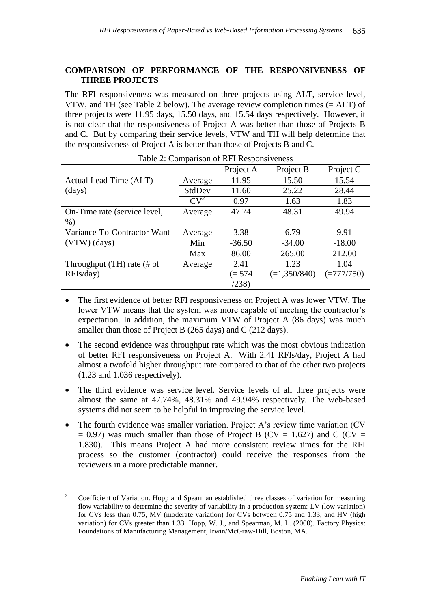## **COMPARISON OF PERFORMANCE OF THE RESPONSIVENESS OF THREE PROJECTS**

The RFI responsiveness was measured on three projects using ALT, service level, VTW, and TH (see Table 2 below). The average review completion times (= ALT) of three projects were 11.95 days, 15.50 days, and 15.54 days respectively. However, it is not clear that the responsiveness of Project A was better than those of Projects B and C. But by comparing their service levels, VTW and TH will help determine that the responsiveness of Project A is better than those of Projects B and C.

| $1000$ $\mu$ . Comparison of RT I Responsiveness |         |           |                |              |  |  |  |  |
|--------------------------------------------------|---------|-----------|----------------|--------------|--|--|--|--|
|                                                  |         | Project A | Project B      | Project C    |  |  |  |  |
| Actual Lead Time (ALT)                           | Average | 11.95     | 15.50          | 15.54        |  |  |  |  |
| (days)                                           | StdDev  | 11.60     | 25.22          | 28.44        |  |  |  |  |
|                                                  | $CV^2$  | 0.97      | 1.63           | 1.83         |  |  |  |  |
| On-Time rate (service level,                     | Average | 47.74     | 48.31          | 49.94        |  |  |  |  |
| $%$ )                                            |         |           |                |              |  |  |  |  |
| Variance-To-Contractor Want                      | Average | 3.38      | 6.79           | 9.91         |  |  |  |  |
| $(VTW)$ (days)                                   | Min     | $-36.50$  | $-34.00$       | $-18.00$     |  |  |  |  |
|                                                  | Max     | 86.00     | 265.00         | 212.00       |  |  |  |  |
| Throughput $(TH)$ rate $#$ of                    | Average | 2.41      | 1.23           | 1.04         |  |  |  |  |
| RFIs/day)                                        |         | $(= 574)$ | $(=1,350/840)$ | $(=777/750)$ |  |  |  |  |
|                                                  |         | (238)     |                |              |  |  |  |  |

Table 2: Comparison of RFI Responsiveness

- The first evidence of better RFI responsiveness on Project A was lower VTW. The lower VTW means that the system was more capable of meeting the contractor's expectation. In addition, the maximum VTW of Project A (86 days) was much smaller than those of Project B (265 days) and C (212 days).
- The second evidence was throughput rate which was the most obvious indication of better RFI responsiveness on Project A. With 2.41 RFIs/day, Project A had almost a twofold higher throughput rate compared to that of the other two projects (1.23 and 1.036 respectively).
- The third evidence was service level. Service levels of all three projects were almost the same at 47.74%, 48.31% and 49.94% respectively. The web-based systems did not seem to be helpful in improving the service level.
- The fourth evidence was smaller variation. Project A's review time variation (CV)  $= 0.97$ ) was much smaller than those of Project B (CV = 1.627) and C (CV = 1.830). This means Project A had more consistent review times for the RFI process so the customer (contractor) could receive the responses from the reviewers in a more predictable manner.

 $\overline{c}$ <sup>2</sup> Coefficient of Variation. Hopp and Spearman established three classes of variation for measuring flow variability to determine the severity of variability in a production system: LV (low variation) for CVs less than 0.75, MV (moderate variation) for CVs between 0.75 and 1.33, and HV (high variation) for CVs greater than 1.33. Hopp, W. J., and Spearman, M. L. (2000). Factory Physics: Foundations of Manufacturing Management, Irwin/McGraw-Hill, Boston, MA.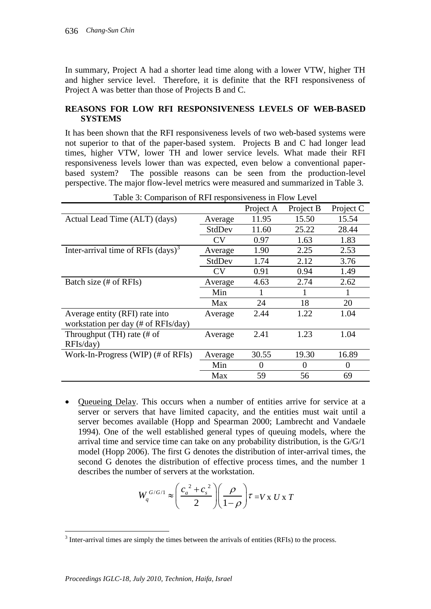In summary, Project A had a shorter lead time along with a lower VTW, higher TH and higher service level. Therefore, it is definite that the RFI responsiveness of Project A was better than those of Projects B and C.

## **REASONS FOR LOW RFI RESPONSIVENESS LEVELS OF WEB-BASED SYSTEMS**

It has been shown that the RFI responsiveness levels of two web-based systems were not superior to that of the paper-based system. Projects B and C had longer lead times, higher VTW, lower TH and lower service levels. What made their RFI responsiveness levels lower than was expected, even below a conventional paperbased system? The possible reasons can be seen from the production-level perspective. The major flow-level metrics were measured and summarized in Table 3.

|                                                         |           | Project A | Project B | Project C |
|---------------------------------------------------------|-----------|-----------|-----------|-----------|
| Actual Lead Time (ALT) (days)                           | Average   | 11.95     | 15.50     | 15.54     |
|                                                         | StdDev    | 11.60     | 25.22     | 28.44     |
|                                                         | <b>CV</b> | 0.97      | 1.63      | 1.83      |
| Inter-arrival time of RFIs $\left(\text{days}\right)^3$ | Average   | 1.90      | 2.25      | 2.53      |
|                                                         | StdDev    | 1.74      | 2.12      | 3.76      |
|                                                         | <b>CV</b> | 0.91      | 0.94      | 1.49      |
| Batch size (# of RFIs)                                  | Average   | 4.63      | 2.74      | 2.62      |
|                                                         | Min       |           |           |           |
|                                                         | Max       | 24        | 18        | 20        |
| Average entity (RFI) rate into                          | Average   | 2.44      | 1.22      | 1.04      |
| workstation per day (# of RFIs/day)                     |           |           |           |           |
| Throughput $(TH)$ rate $#$ of                           | Average   | 2.41      | 1.23      | 1.04      |
| RFIs/day)                                               |           |           |           |           |
| Work-In-Progress (WIP) (# of RFIs)                      | Average   | 30.55     | 19.30     | 16.89     |
|                                                         | Min       | $\Omega$  | $\theta$  | $\Omega$  |
|                                                         | Max       | 59        | 56        | 69        |

Table 3: Comparison of RFI responsiveness in Flow Level

 Queueing Delay. This occurs when a number of entities arrive for service at a server or servers that have limited capacity, and the entities must wait until a server becomes available (Hopp and Spearman 2000; Lambrecht and Vandaele 1994). One of the well established general types of queuing models, where the arrival time and service time can take on any probability distribution, is the G/G/1 model (Hopp 2006). The first G denotes the distribution of inter-arrival times, the second G denotes the distribution of effective process times, and the number 1 describes the number of servers at the workstation.

$$
W_q^{G/G/1} \approx \left(\frac{c_a^2 + c_s^2}{2}\right) \left(\frac{\rho}{1-\rho}\right) \tau = V x U x T
$$

<sup>&</sup>lt;sup>3</sup> Inter-arrival times are simply the times between the arrivals of entities (RFIs) to the process.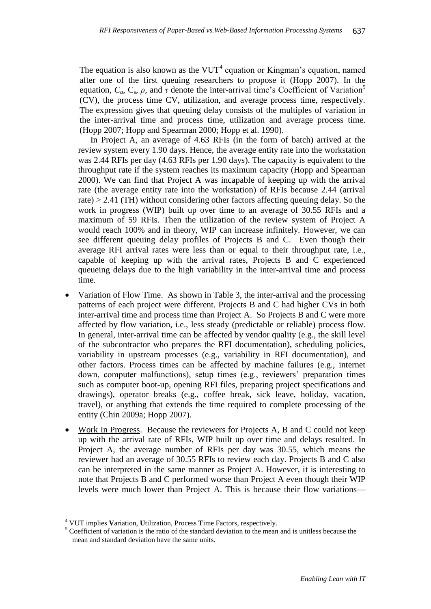The equation is also known as the  $VUT^4$  equation or Kingman's equation, named after one of the first queuing researchers to propose it (Hopp 2007). In the equation,  $C_a$ ,  $C_s$ ,  $\rho$ , and  $\tau$  denote the inter-arrival time's Coefficient of Variation<sup>5</sup> (CV), the process time CV, utilization, and average process time, respectively. The expression gives that queuing delay consists of the multiples of variation in the inter-arrival time and process time, utilization and average process time. (Hopp 2007; Hopp and Spearman 2000; Hopp et al. 1990).

In Project A, an average of 4.63 RFIs (in the form of batch) arrived at the review system every 1.90 days. Hence, the average entity rate into the workstation was 2.44 RFIs per day (4.63 RFIs per 1.90 days). The capacity is equivalent to the throughput rate if the system reaches its maximum capacity (Hopp and Spearman 2000). We can find that Project A was incapable of keeping up with the arrival rate (the average entity rate into the workstation) of RFIs because 2.44 (arrival rate) > 2.41 (TH) without considering other factors affecting queuing delay. So the work in progress (WIP) built up over time to an average of 30.55 RFIs and a maximum of 59 RFIs. Then the utilization of the review system of Project A would reach 100% and in theory, WIP can increase infinitely. However, we can see different queuing delay profiles of Projects B and C. Even though their average RFI arrival rates were less than or equal to their throughput rate, i.e., capable of keeping up with the arrival rates, Projects B and C experienced queueing delays due to the high variability in the inter-arrival time and process time.

- Variation of Flow Time. As shown in Table 3, the inter-arrival and the processing patterns of each project were different. Projects B and C had higher CVs in both inter-arrival time and process time than Project A. So Projects B and C were more affected by flow variation, i.e., less steady (predictable or reliable) process flow. In general, inter-arrival time can be affected by vendor quality (e.g., the skill level of the subcontractor who prepares the RFI documentation), scheduling policies, variability in upstream processes (e.g., variability in RFI documentation), and other factors. Process times can be affected by machine failures (e.g., internet down, computer malfunctions), setup times (e.g., reviewers' preparation times such as computer boot-up, opening RFI files, preparing project specifications and drawings), operator breaks (e.g., coffee break, sick leave, holiday, vacation, travel), or anything that extends the time required to complete processing of the entity (Chin 2009a; Hopp 2007).
- Work In Progress. Because the reviewers for Projects A, B and C could not keep up with the arrival rate of RFIs, WIP built up over time and delays resulted. In Project A, the average number of RFIs per day was 30.55, which means the reviewer had an average of 30.55 RFIs to review each day. Projects B and C also can be interpreted in the same manner as Project A. However, it is interesting to note that Projects B and C performed worse than Project A even though their WIP levels were much lower than Project A. This is because their flow variations—

1

<sup>4</sup> VUT implies **V**ariation, **U**tilization, Process **T**ime Factors, respectively.

 $5$  Coefficient of variation is the ratio of the standard deviation to the mean and is unitless because the mean and standard deviation have the same units.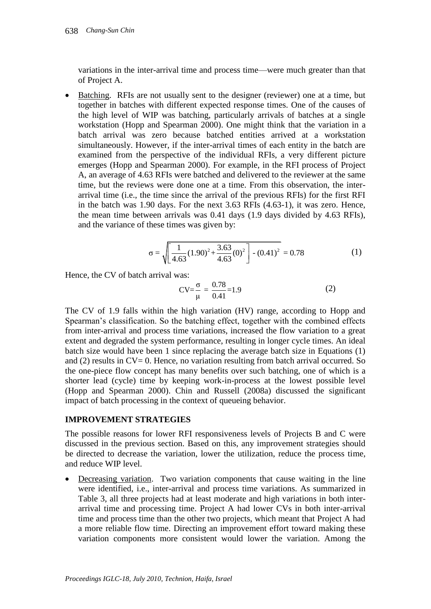variations in the inter-arrival time and process time—were much greater than that of Project A.

 Batching. RFIs are not usually sent to the designer (reviewer) one at a time, but together in batches with different expected response times. One of the causes of the high level of WIP was batching, particularly arrivals of batches at a single workstation (Hopp and Spearman 2000). One might think that the variation in a batch arrival was zero because batched entities arrived at a workstation simultaneously. However, if the inter-arrival times of each entity in the batch are examined from the perspective of the individual RFIs, a very different picture emerges (Hopp and Spearman 2000). For example, in the RFI process of Project A, an average of 4.63 RFIs were batched and delivered to the reviewer at the same time, but the reviews were done one at a time. From this observation, the interarrival time (i.e., the time since the arrival of the previous RFIs) for the first RFI in the batch was 1.90 days. For the next 3.63 RFIs (4.63-1), it was zero. Hence, the mean time between arrivals was 0.41 days (1.9 days divided by 4.63 RFIs), and the variance of these times was given by:

$$
\sigma = \sqrt{\frac{1}{4.63} (1.90)^2 + \frac{3.63}{4.63} (0)^2} - (0.41)^2 = 0.78
$$
 (1)

Hence, the CV of batch arrival was:

$$
CV = \frac{\sigma}{\mu} = \frac{0.78}{0.41} = 1.9
$$
 (2)

The CV of 1.9 falls within the high variation (HV) range, according to Hopp and Spearman's classification. So the batching effect, together with the combined effects from inter-arrival and process time variations, increased the flow variation to a great extent and degraded the system performance, resulting in longer cycle times. An ideal batch size would have been 1 since replacing the average batch size in Equations (1) and (2) results in  $CV = 0$ . Hence, no variation resulting from batch arrival occurred. So the one-piece flow concept has many benefits over such batching, one of which is a shorter lead (cycle) time by keeping work-in-process at the lowest possible level (Hopp and Spearman 2000). Chin and Russell (2008a) discussed the significant impact of batch processing in the context of queueing behavior.

#### **IMPROVEMENT STRATEGIES**

The possible reasons for lower RFI responsiveness levels of Projects B and C were discussed in the previous section. Based on this, any improvement strategies should be directed to decrease the variation, lower the utilization, reduce the process time, and reduce WIP level.

 Decreasing variation. Two variation components that cause waiting in the line were identified, i.e., inter-arrival and process time variations. As summarized in Table 3, all three projects had at least moderate and high variations in both interarrival time and processing time. Project A had lower CVs in both inter-arrival time and process time than the other two projects, which meant that Project A had a more reliable flow time. Directing an improvement effort toward making these variation components more consistent would lower the variation. Among the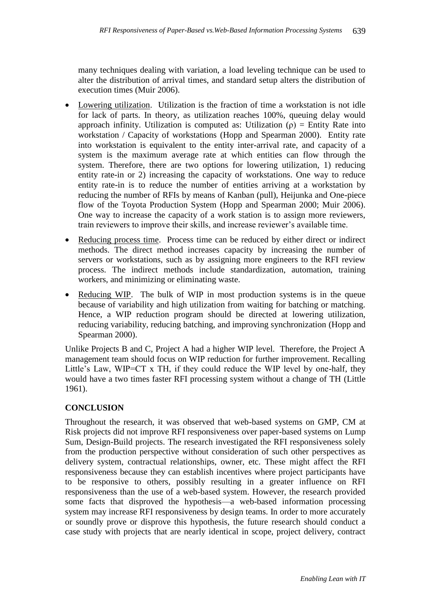many techniques dealing with variation, a load leveling technique can be used to alter the distribution of arrival times, and standard setup alters the distribution of execution times (Muir 2006).

- Lowering utilization. Utilization is the fraction of time a workstation is not idle for lack of parts. In theory, as utilization reaches 100%, queuing delay would approach infinity. Utilization is computed as: Utilization  $(\rho)$  = Entity Rate into workstation / Capacity of workstations (Hopp and Spearman 2000). Entity rate into workstation is equivalent to the entity inter-arrival rate, and capacity of a system is the maximum average rate at which entities can flow through the system. Therefore, there are two options for lowering utilization, 1) reducing entity rate-in or 2) increasing the capacity of workstations. One way to reduce entity rate-in is to reduce the number of entities arriving at a workstation by reducing the number of RFIs by means of Kanban (pull), Heijunka and One-piece flow of the Toyota Production System (Hopp and Spearman 2000; Muir 2006). One way to increase the capacity of a work station is to assign more reviewers, train reviewers to improve their skills, and increase reviewer's available time.
- Reducing process time. Process time can be reduced by either direct or indirect methods. The direct method increases capacity by increasing the number of servers or workstations, such as by assigning more engineers to the RFI review process. The indirect methods include standardization, automation, training workers, and minimizing or eliminating waste.
- Reducing WIP. The bulk of WIP in most production systems is in the queue because of variability and high utilization from waiting for batching or matching. Hence, a WIP reduction program should be directed at lowering utilization, reducing variability, reducing batching, and improving synchronization (Hopp and Spearman 2000).

Unlike Projects B and C, Project A had a higher WIP level. Therefore, the Project A management team should focus on WIP reduction for further improvement. Recalling Little's Law, WIP=CT x TH, if they could reduce the WIP level by one-half, they would have a two times faster RFI processing system without a change of TH (Little 1961).

# **CONCLUSION**

Throughout the research, it was observed that web-based systems on GMP, CM at Risk projects did not improve RFI responsiveness over paper-based systems on Lump Sum, Design-Build projects. The research investigated the RFI responsiveness solely from the production perspective without consideration of such other perspectives as delivery system, contractual relationships, owner, etc. These might affect the RFI responsiveness because they can establish incentives where project participants have to be responsive to others, possibly resulting in a greater influence on RFI responsiveness than the use of a web-based system. However, the research provided some facts that disproved the hypothesis—a web-based information processing system may increase RFI responsiveness by design teams. In order to more accurately or soundly prove or disprove this hypothesis, the future research should conduct a case study with projects that are nearly identical in scope, project delivery, contract